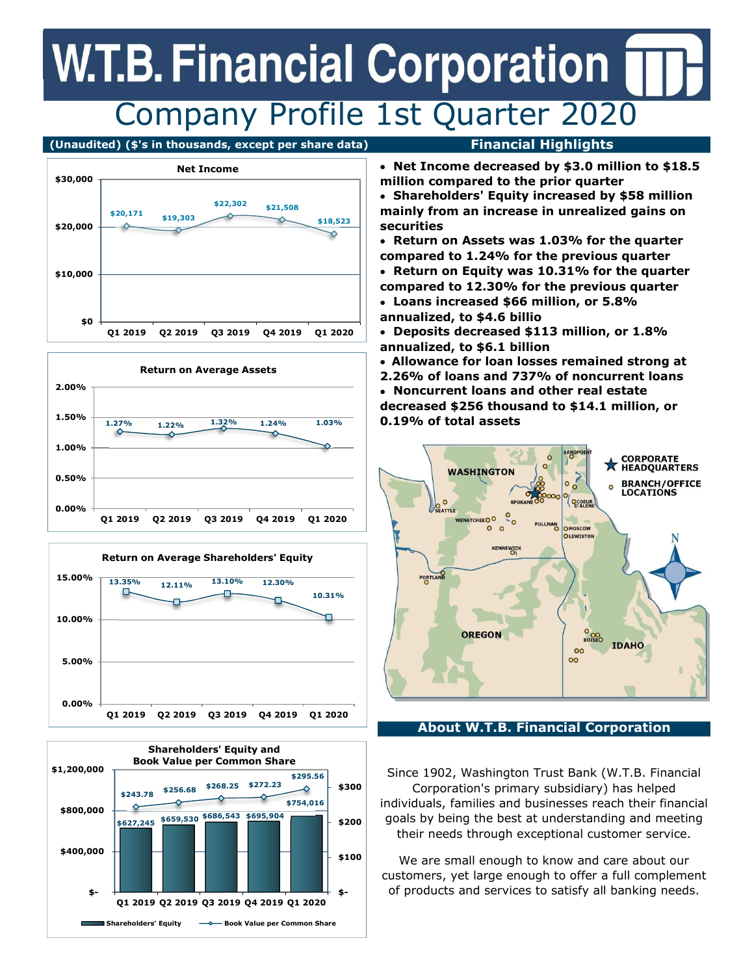## **W.T.B. Financial Corporation** Company Profile 1st Quarter 2020

#### (Unaudited) (\$'s in thousands, except per share data) Financial Highlights









- Net Income decreased by \$3.0 million to \$18.5 million compared to the prior quarter
- Shareholders' Equity increased by \$58 million mainly from an increase in unrealized gains on securities
- Return on Assets was 1.03% for the quarter compared to 1.24% for the previous quarter
- Return on Equity was 10.31% for the quarter compared to 12.30% for the previous quarter
- Loans increased \$66 million, or 5.8% annualized, to \$4.6 billio

 Deposits decreased \$113 million, or 1.8% annualized, to \$6.1 billion

- Allowance for loan losses remained strong at
- 2.26% of loans and 737% of noncurrent loans
- Noncurrent loans and other real estate

decreased \$256 thousand to \$14.1 million, or 0.19% of total assets



#### About W.T.B. Financial Corporation

Since 1902, Washington Trust Bank (W.T.B. Financial Corporation's primary subsidiary) has helped individuals, families and businesses reach their financial goals by being the best at understanding and meeting their needs through exceptional customer service.

We are small enough to know and care about our customers, yet large enough to offer a full complement of products and services to satisfy all banking needs.